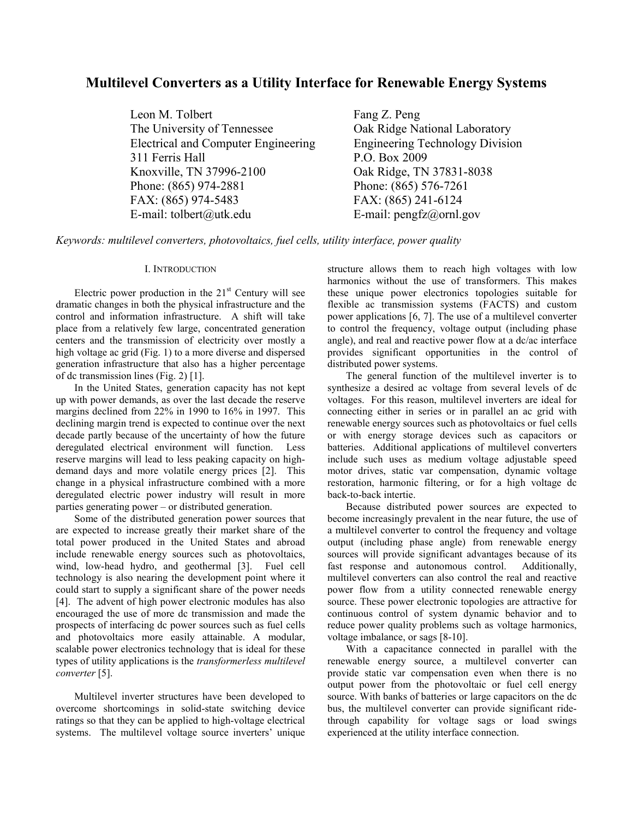# **Multilevel Converters as a Utility Interface for Renewable Energy Systems**

Leon M. Tolbert Fang Z. Peng The University of Tennessee **Oak Ridge National Laboratory** Electrical and Computer Engineering Engineering Technology Division 311 Ferris Hall P.O. Box 2009 Knoxville, TN 37996-2100 Oak Ridge, TN 37831-8038 Phone: (865) 974-2881 Phone: (865) 576-7261 FAX: (865) 974-5483 FAX: (865) 241-6124 E-mail: tolbert@utk.edu E-mail: pengfz@ornl.gov

*Keywords: multilevel converters, photovoltaics, fuel cells, utility interface, power quality*

## I. INTRODUCTION

Electric power production in the  $21<sup>st</sup>$  Century will see dramatic changes in both the physical infrastructure and the control and information infrastructure. A shift will take place from a relatively few large, concentrated generation centers and the transmission of electricity over mostly a high voltage ac grid (Fig. 1) to a more diverse and dispersed generation infrastructure that also has a higher percentage of dc transmission lines (Fig. 2) [1].

In the United States, generation capacity has not kept up with power demands, as over the last decade the reserve margins declined from 22% in 1990 to 16% in 1997. This declining margin trend is expected to continue over the next decade partly because of the uncertainty of how the future deregulated electrical environment will function. Less reserve margins will lead to less peaking capacity on highdemand days and more volatile energy prices [2]. This change in a physical infrastructure combined with a more deregulated electric power industry will result in more parties generating power – or distributed generation.

Some of the distributed generation power sources that are expected to increase greatly their market share of the total power produced in the United States and abroad include renewable energy sources such as photovoltaics, wind, low-head hydro, and geothermal [3]. Fuel cell technology is also nearing the development point where it could start to supply a significant share of the power needs [4]. The advent of high power electronic modules has also encouraged the use of more dc transmission and made the prospects of interfacing dc power sources such as fuel cells and photovoltaics more easily attainable. A modular, scalable power electronics technology that is ideal for these types of utility applications is the *transformerless multilevel converter* [5].

Multilevel inverter structures have been developed to overcome shortcomings in solid-state switching device ratings so that they can be applied to high-voltage electrical systems. The multilevel voltage source inverters' unique

structure allows them to reach high voltages with low harmonics without the use of transformers. This makes these unique power electronics topologies suitable for flexible ac transmission systems (FACTS) and custom power applications [6, 7]. The use of a multilevel converter to control the frequency, voltage output (including phase angle), and real and reactive power flow at a dc/ac interface provides significant opportunities in the control of distributed power systems.

The general function of the multilevel inverter is to synthesize a desired ac voltage from several levels of dc voltages. For this reason, multilevel inverters are ideal for connecting either in series or in parallel an ac grid with renewable energy sources such as photovoltaics or fuel cells or with energy storage devices such as capacitors or batteries. Additional applications of multilevel converters include such uses as medium voltage adjustable speed motor drives, static var compensation, dynamic voltage restoration, harmonic filtering, or for a high voltage dc back-to-back intertie.

Because distributed power sources are expected to become increasingly prevalent in the near future, the use of a multilevel converter to control the frequency and voltage output (including phase angle) from renewable energy sources will provide significant advantages because of its fast response and autonomous control. Additionally, multilevel converters can also control the real and reactive power flow from a utility connected renewable energy source. These power electronic topologies are attractive for continuous control of system dynamic behavior and to reduce power quality problems such as voltage harmonics, voltage imbalance, or sags [8-10].

With a capacitance connected in parallel with the renewable energy source, a multilevel converter can provide static var compensation even when there is no output power from the photovoltaic or fuel cell energy source. With banks of batteries or large capacitors on the dc bus, the multilevel converter can provide significant ridethrough capability for voltage sags or load swings experienced at the utility interface connection.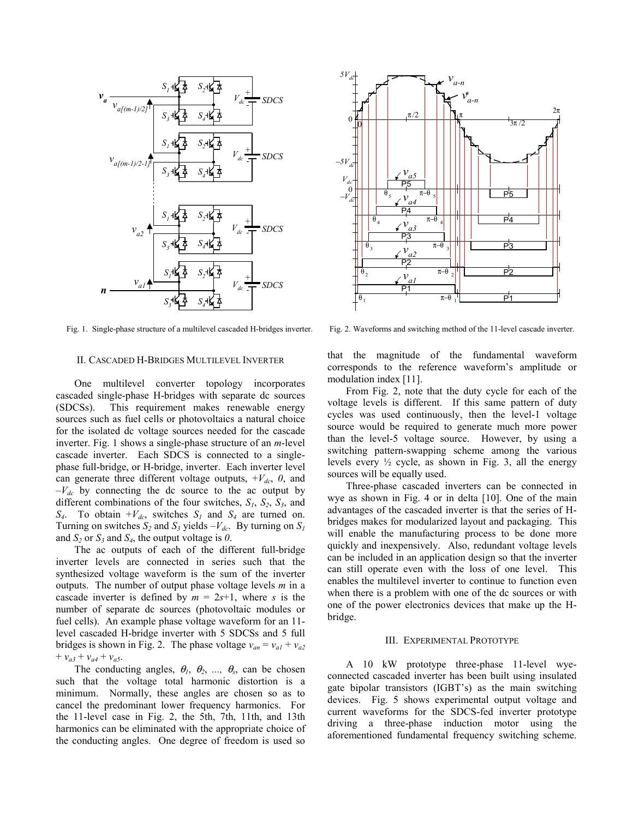

Fig. 1. Single-phase structure of a multilevel cascaded H-bridges inverter.

### II. CASCADED H-BRIDGES MULTILEVEL INVERTER

One multilevel converter topology incorporates cascaded single-phase H-bridges with separate dc sources (SDCSs). This requirement makes renewable energy sources such as fuel cells or photovoltaics a natural choice for the isolated dc voltage sources needed for the cascade inverter. Fig. 1 shows a single-phase structure of an *m*-level cascade inverter. Each SDCS is connected to a singlephase full-bridge, or H-bridge, inverter. Each inverter level can generate three different voltage outputs,  $+V_{dc}$ , 0, and  $-V_{dc}$  by connecting the dc source to the ac output by different combinations of the four switches,  $S_1$ ,  $S_2$ ,  $S_3$ , and  $S_4$ . To obtain  $+V_{dc}$ , switches  $S_1$  and  $S_4$  are turned on. Turning on switches  $S_2$  and  $S_3$  yields  $-V_{dc}$ . By turning on  $S_1$ and  $S_2$  or  $S_3$  and  $S_4$ , the output voltage is 0.

The ac outputs of each of the different full-bridge inverter levels are connected in series such that the synthesized voltage waveform is the sum of the inverter outputs. The number of output phase voltage levels *m* in a cascade inverter is defined by  $m = 2s+1$ , where *s* is the number of separate dc sources (photovoltaic modules or fuel cells). An example phase voltage waveform for an 11 level cascaded H-bridge inverter with 5 SDCSs and 5 full bridges is shown in Fig. 2. The phase voltage  $v_{an} = v_{al} + v_{a2}$  $+ v_{a3} + v_{a4} + v_{a5}$ .

The conducting angles,  $\theta_1$ ,  $\theta_2$ , ...,  $\theta_s$ , can be chosen such that the voltage total harmonic distortion is a minimum. Normally, these angles are chosen so as to cancel the predominant lower frequency harmonics. For the 11-level case in Fig. 2, the 5th, 7th, 11th, and 13th harmonics can be eliminated with the appropriate choice of the conducting angles. One degree of freedom is used so



Fig. 2. Waveforms and switching method of the 11-level cascade inverter.

that the magnitude of the fundamental waveform corresponds to the reference waveform's amplitude or modulation index [11].

From Fig. 2, note that the duty cycle for each of the voltage levels is different. If this same pattern of duty cycles was used continuously, then the level-1 voltage source would be required to generate much more power than the level-5 voltage source. However, by using a switching pattern-swapping scheme among the various levels every  $\frac{1}{2}$  cycle, as shown in Fig. 3, all the energy sources will be equally used.

Three-phase cascaded inverters can be connected in wye as shown in Fig. 4 or in delta [10]. One of the main advantages of the cascaded inverter is that the series of Hbridges makes for modularized layout and packaging. This will enable the manufacturing process to be done more quickly and inexpensively. Also, redundant voltage levels can be included in an application design so that the inverter can still operate even with the loss of one level. This enables the multilevel inverter to continue to function even when there is a problem with one of the dc sources or with one of the power electronics devices that make up the Hbridge.

## III. EXPERIMENTAL PROTOTYPE

A 10 kW prototype three-phase 11-level wyeconnected cascaded inverter has been built using insulated gate bipolar transistors (IGBT's) as the main switching devices. Fig. 5 shows experimental output voltage and current waveforms for the SDCS-fed inverter prototype driving a three-phase induction motor using the aforementioned fundamental frequency switching scheme.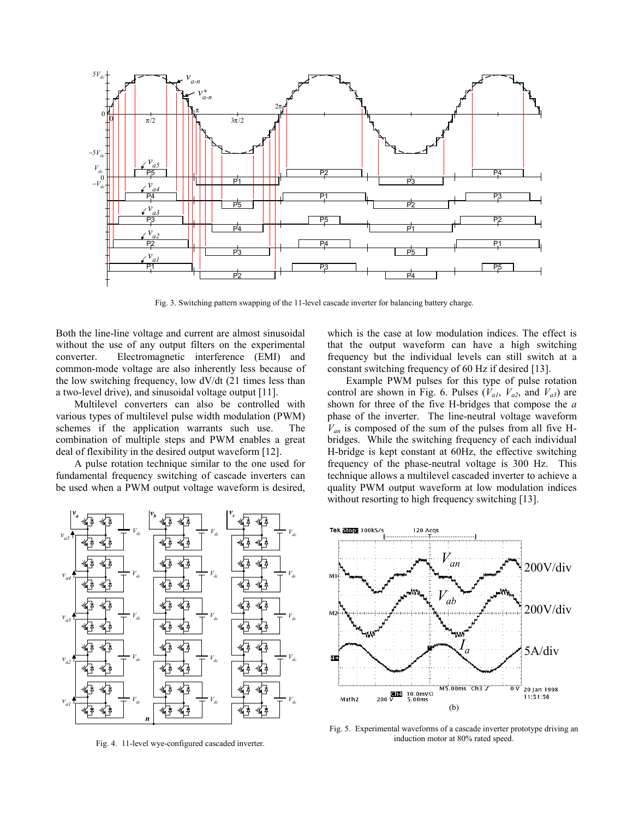

Fig. 3. Switching pattern swapping of the 11-level cascade inverter for balancing battery charge.

Both the line-line voltage and current are almost sinusoidal without the use of any output filters on the experimental converter. Electromagnetic interference (EMI) and common-mode voltage are also inherently less because of the low switching frequency, low dV/dt (21 times less than a two-level drive), and sinusoidal voltage output [11].

Multilevel converters can also be controlled with various types of multilevel pulse width modulation (PWM) schemes if the application warrants such use. The combination of multiple steps and PWM enables a great deal of flexibility in the desired output waveform [12].

A pulse rotation technique similar to the one used for fundamental frequency switching of cascade inverters can be used when a PWM output voltage waveform is desired,



Fig. 4. 11-level wye-configured cascaded inverter.

which is the case at low modulation indices. The effect is that the output waveform can have a high switching frequency but the individual levels can still switch at a constant switching frequency of 60 Hz if desired [13].

Example PWM pulses for this type of pulse rotation control are shown in Fig. 6. Pulses  $(V_{a1}, V_{a2},$  and  $V_{a3})$  are shown for three of the five H-bridges that compose the *a* phase of the inverter. The line-neutral voltage waveform  $V_{an}$  is composed of the sum of the pulses from all five Hbridges. While the switching frequency of each individual H-bridge is kept constant at 60Hz, the effective switching frequency of the phase-neutral voltage is 300 Hz. This technique allows a multilevel cascaded inverter to achieve a quality PWM output waveform at low modulation indices without resorting to high frequency switching [13].



Fig. 5. Experimental waveforms of a cascade inverter prototype driving an induction motor at 80% rated speed.